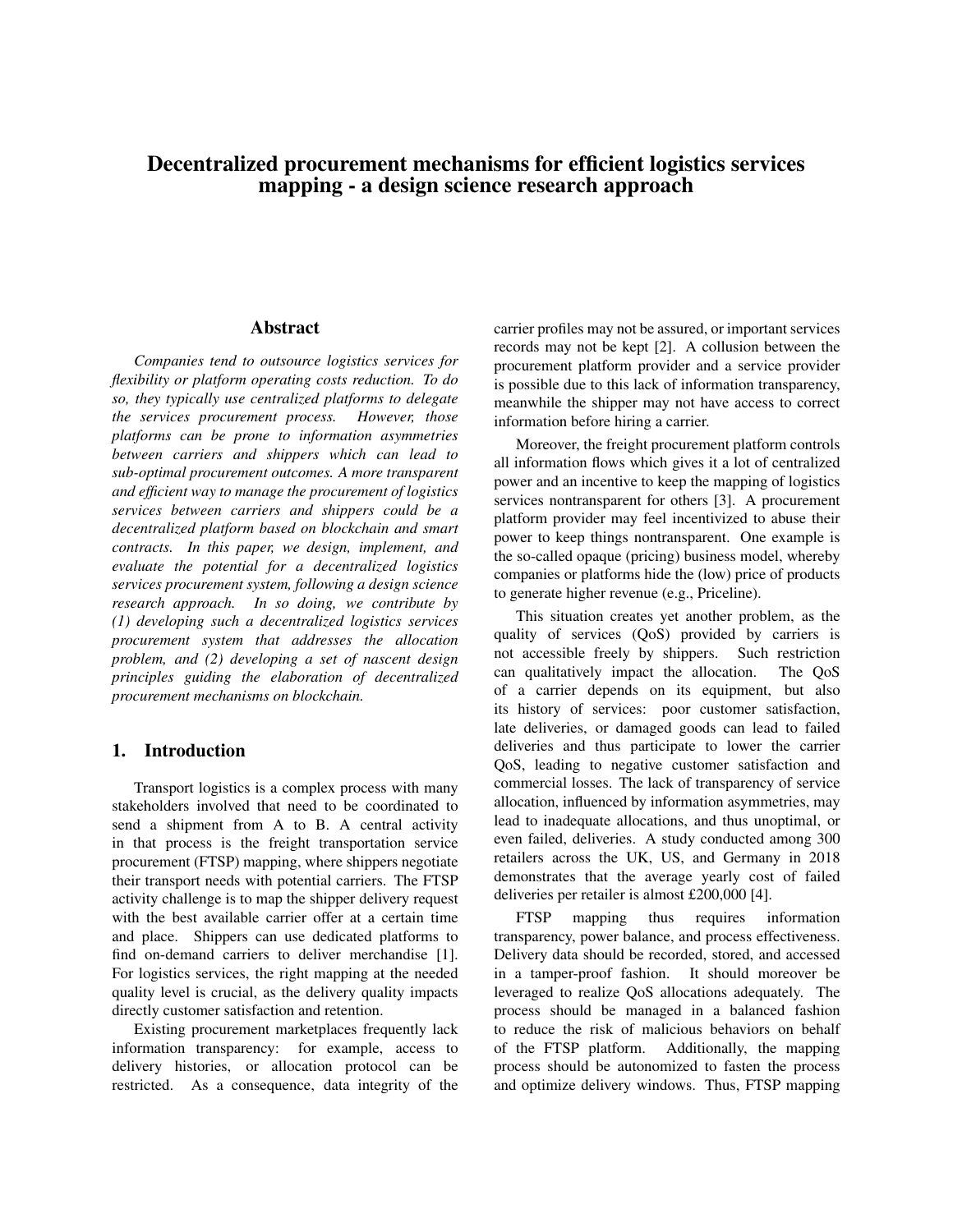# Decentralized procurement mechanisms for efficient logistics services mapping - a design science research approach

#### Abstract

*Companies tend to outsource logistics services for flexibility or platform operating costs reduction. To do so, they typically use centralized platforms to delegate the services procurement process. However, those platforms can be prone to information asymmetries between carriers and shippers which can lead to sub-optimal procurement outcomes. A more transparent and efficient way to manage the procurement of logistics services between carriers and shippers could be a decentralized platform based on blockchain and smart contracts. In this paper, we design, implement, and evaluate the potential for a decentralized logistics services procurement system, following a design science research approach. In so doing, we contribute by (1) developing such a decentralized logistics services procurement system that addresses the allocation problem, and (2) developing a set of nascent design principles guiding the elaboration of decentralized procurement mechanisms on blockchain.*

#### 1. Introduction

Transport logistics is a complex process with many stakeholders involved that need to be coordinated to send a shipment from A to B. A central activity in that process is the freight transportation service procurement (FTSP) mapping, where shippers negotiate their transport needs with potential carriers. The FTSP activity challenge is to map the shipper delivery request with the best available carrier offer at a certain time and place. Shippers can use dedicated platforms to find on-demand carriers to deliver merchandise [1]. For logistics services, the right mapping at the needed quality level is crucial, as the delivery quality impacts directly customer satisfaction and retention.

Existing procurement marketplaces frequently lack information transparency: for example, access to delivery histories, or allocation protocol can be restricted. As a consequence, data integrity of the

carrier profiles may not be assured, or important services records may not be kept [2]. A collusion between the procurement platform provider and a service provider is possible due to this lack of information transparency, meanwhile the shipper may not have access to correct information before hiring a carrier.

Moreover, the freight procurement platform controls all information flows which gives it a lot of centralized power and an incentive to keep the mapping of logistics services nontransparent for others [3]. A procurement platform provider may feel incentivized to abuse their power to keep things nontransparent. One example is the so-called opaque (pricing) business model, whereby companies or platforms hide the (low) price of products to generate higher revenue (e.g., Priceline).

This situation creates yet another problem, as the quality of services (QoS) provided by carriers is not accessible freely by shippers. Such restriction can qualitatively impact the allocation. The QoS of a carrier depends on its equipment, but also its history of services: poor customer satisfaction, late deliveries, or damaged goods can lead to failed deliveries and thus participate to lower the carrier QoS, leading to negative customer satisfaction and commercial losses. The lack of transparency of service allocation, influenced by information asymmetries, may lead to inadequate allocations, and thus unoptimal, or even failed, deliveries. A study conducted among 300 retailers across the UK, US, and Germany in 2018 demonstrates that the average yearly cost of failed deliveries per retailer is almost £200,000 [4].

FTSP mapping thus requires information transparency, power balance, and process effectiveness. Delivery data should be recorded, stored, and accessed in a tamper-proof fashion. It should moreover be leveraged to realize QoS allocations adequately. The process should be managed in a balanced fashion to reduce the risk of malicious behaviors on behalf of the FTSP platform. Additionally, the mapping process should be autonomized to fasten the process and optimize delivery windows. Thus, FTSP mapping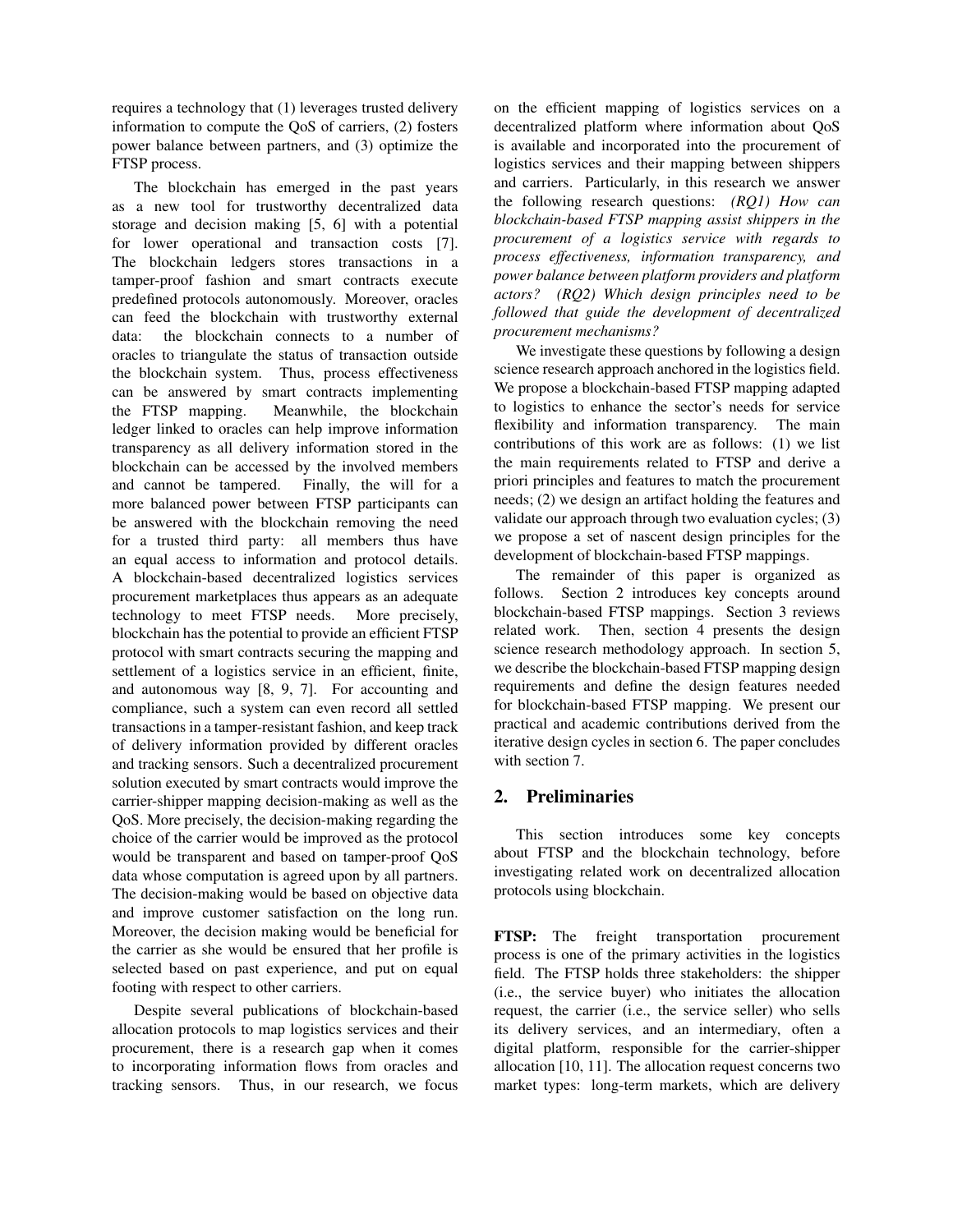requires a technology that (1) leverages trusted delivery information to compute the QoS of carriers, (2) fosters power balance between partners, and (3) optimize the FTSP process.

The blockchain has emerged in the past years as a new tool for trustworthy decentralized data storage and decision making [5, 6] with a potential for lower operational and transaction costs [7]. The blockchain ledgers stores transactions in a tamper-proof fashion and smart contracts execute predefined protocols autonomously. Moreover, oracles can feed the blockchain with trustworthy external data: the blockchain connects to a number of oracles to triangulate the status of transaction outside the blockchain system. Thus, process effectiveness can be answered by smart contracts implementing the FTSP mapping. Meanwhile, the blockchain ledger linked to oracles can help improve information transparency as all delivery information stored in the blockchain can be accessed by the involved members and cannot be tampered. Finally, the will for a more balanced power between FTSP participants can be answered with the blockchain removing the need for a trusted third party: all members thus have an equal access to information and protocol details. A blockchain-based decentralized logistics services procurement marketplaces thus appears as an adequate technology to meet FTSP needs. More precisely, blockchain has the potential to provide an efficient FTSP protocol with smart contracts securing the mapping and settlement of a logistics service in an efficient, finite, and autonomous way [8, 9, 7]. For accounting and compliance, such a system can even record all settled transactions in a tamper-resistant fashion, and keep track of delivery information provided by different oracles and tracking sensors. Such a decentralized procurement solution executed by smart contracts would improve the carrier-shipper mapping decision-making as well as the QoS. More precisely, the decision-making regarding the choice of the carrier would be improved as the protocol would be transparent and based on tamper-proof QoS data whose computation is agreed upon by all partners. The decision-making would be based on objective data and improve customer satisfaction on the long run. Moreover, the decision making would be beneficial for the carrier as she would be ensured that her profile is selected based on past experience, and put on equal footing with respect to other carriers.

Despite several publications of blockchain-based allocation protocols to map logistics services and their procurement, there is a research gap when it comes to incorporating information flows from oracles and tracking sensors. Thus, in our research, we focus

on the efficient mapping of logistics services on a decentralized platform where information about QoS is available and incorporated into the procurement of logistics services and their mapping between shippers and carriers. Particularly, in this research we answer the following research questions: *(RQ1) How can blockchain-based FTSP mapping assist shippers in the procurement of a logistics service with regards to process effectiveness, information transparency, and power balance between platform providers and platform actors? (RQ2) Which design principles need to be followed that guide the development of decentralized procurement mechanisms?*

We investigate these questions by following a design science research approach anchored in the logistics field. We propose a blockchain-based FTSP mapping adapted to logistics to enhance the sector's needs for service flexibility and information transparency. The main contributions of this work are as follows: (1) we list the main requirements related to FTSP and derive a priori principles and features to match the procurement needs; (2) we design an artifact holding the features and validate our approach through two evaluation cycles; (3) we propose a set of nascent design principles for the development of blockchain-based FTSP mappings.

The remainder of this paper is organized as follows. Section 2 introduces key concepts around blockchain-based FTSP mappings. Section 3 reviews related work. Then, section 4 presents the design science research methodology approach. In section 5, we describe the blockchain-based FTSP mapping design requirements and define the design features needed for blockchain-based FTSP mapping. We present our practical and academic contributions derived from the iterative design cycles in section 6. The paper concludes with section 7.

## 2. Preliminaries

This section introduces some key concepts about FTSP and the blockchain technology, before investigating related work on decentralized allocation protocols using blockchain.

FTSP: The freight transportation procurement process is one of the primary activities in the logistics field. The FTSP holds three stakeholders: the shipper (i.e., the service buyer) who initiates the allocation request, the carrier (i.e., the service seller) who sells its delivery services, and an intermediary, often a digital platform, responsible for the carrier-shipper allocation [10, 11]. The allocation request concerns two market types: long-term markets, which are delivery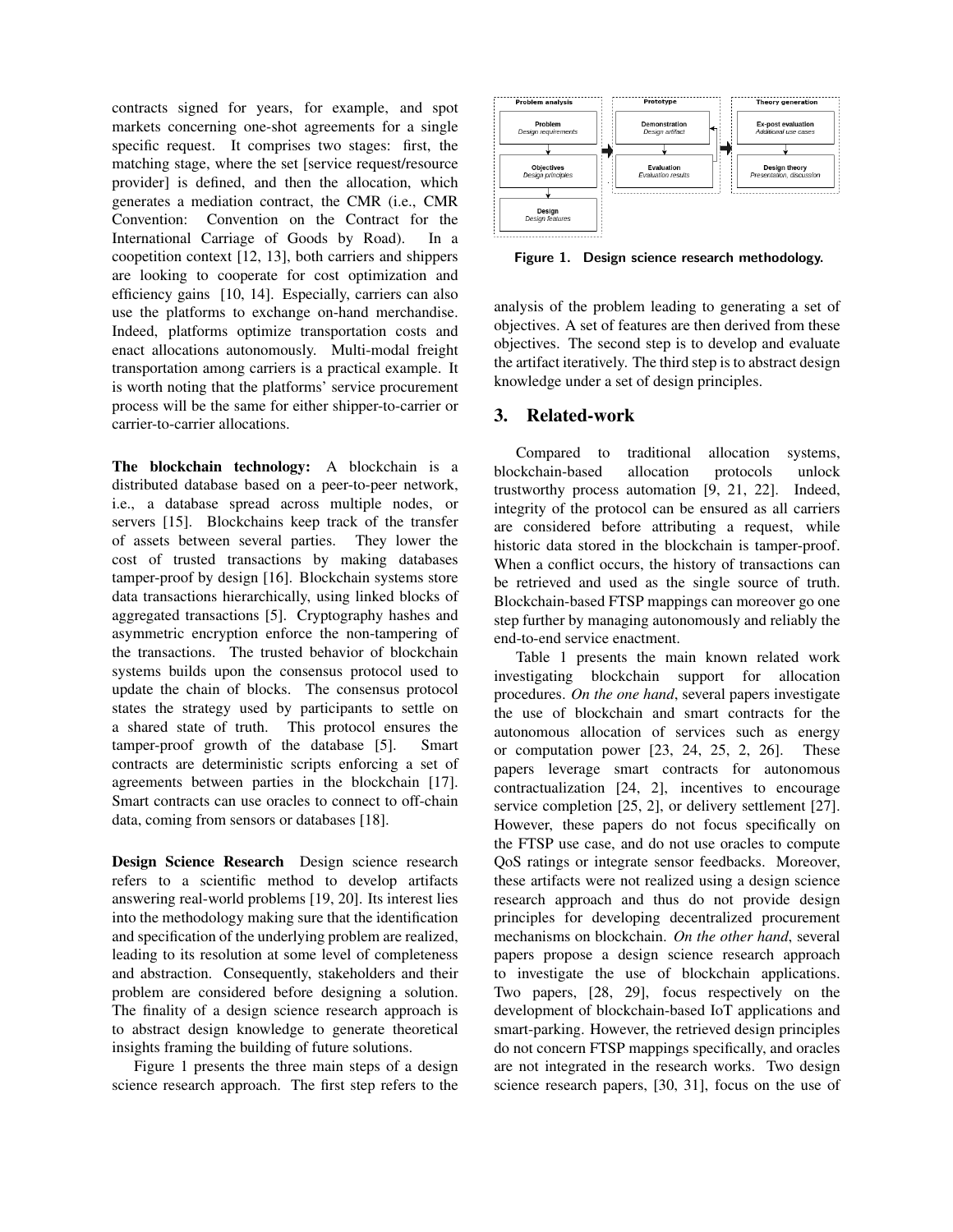contracts signed for years, for example, and spot markets concerning one-shot agreements for a single specific request. It comprises two stages: first, the matching stage, where the set [service request/resource provider] is defined, and then the allocation, which generates a mediation contract, the CMR (i.e., CMR Convention: Convention on the Contract for the International Carriage of Goods by Road). In a coopetition context [12, 13], both carriers and shippers are looking to cooperate for cost optimization and efficiency gains [10, 14]. Especially, carriers can also use the platforms to exchange on-hand merchandise. Indeed, platforms optimize transportation costs and enact allocations autonomously. Multi-modal freight transportation among carriers is a practical example. It is worth noting that the platforms' service procurement process will be the same for either shipper-to-carrier or carrier-to-carrier allocations.

The blockchain technology: A blockchain is a distributed database based on a peer-to-peer network, i.e., a database spread across multiple nodes, or servers [15]. Blockchains keep track of the transfer of assets between several parties. They lower the cost of trusted transactions by making databases tamper-proof by design [16]. Blockchain systems store data transactions hierarchically, using linked blocks of aggregated transactions [5]. Cryptography hashes and asymmetric encryption enforce the non-tampering of the transactions. The trusted behavior of blockchain systems builds upon the consensus protocol used to update the chain of blocks. The consensus protocol states the strategy used by participants to settle on a shared state of truth. This protocol ensures the tamper-proof growth of the database [5]. Smart contracts are deterministic scripts enforcing a set of agreements between parties in the blockchain [17]. Smart contracts can use oracles to connect to off-chain data, coming from sensors or databases [18].

Design Science Research Design science research refers to a scientific method to develop artifacts answering real-world problems [19, 20]. Its interest lies into the methodology making sure that the identification and specification of the underlying problem are realized, leading to its resolution at some level of completeness and abstraction. Consequently, stakeholders and their problem are considered before designing a solution. The finality of a design science research approach is to abstract design knowledge to generate theoretical insights framing the building of future solutions.

Figure 1 presents the three main steps of a design science research approach. The first step refers to the



Figure 1. Design science research methodology.

analysis of the problem leading to generating a set of objectives. A set of features are then derived from these objectives. The second step is to develop and evaluate the artifact iteratively. The third step is to abstract design knowledge under a set of design principles.

## 3. Related-work

Compared to traditional allocation systems, blockchain-based allocation protocols unlock trustworthy process automation [9, 21, 22]. Indeed, integrity of the protocol can be ensured as all carriers are considered before attributing a request, while historic data stored in the blockchain is tamper-proof. When a conflict occurs, the history of transactions can be retrieved and used as the single source of truth. Blockchain-based FTSP mappings can moreover go one step further by managing autonomously and reliably the end-to-end service enactment.

Table 1 presents the main known related work investigating blockchain support for allocation procedures. *On the one hand*, several papers investigate the use of blockchain and smart contracts for the autonomous allocation of services such as energy or computation power [23, 24, 25, 2, 26]. These papers leverage smart contracts for autonomous contractualization [24, 2], incentives to encourage service completion [25, 2], or delivery settlement [27]. However, these papers do not focus specifically on the FTSP use case, and do not use oracles to compute QoS ratings or integrate sensor feedbacks. Moreover, these artifacts were not realized using a design science research approach and thus do not provide design principles for developing decentralized procurement mechanisms on blockchain. *On the other hand*, several papers propose a design science research approach to investigate the use of blockchain applications. Two papers, [28, 29], focus respectively on the development of blockchain-based IoT applications and smart-parking. However, the retrieved design principles do not concern FTSP mappings specifically, and oracles are not integrated in the research works. Two design science research papers, [30, 31], focus on the use of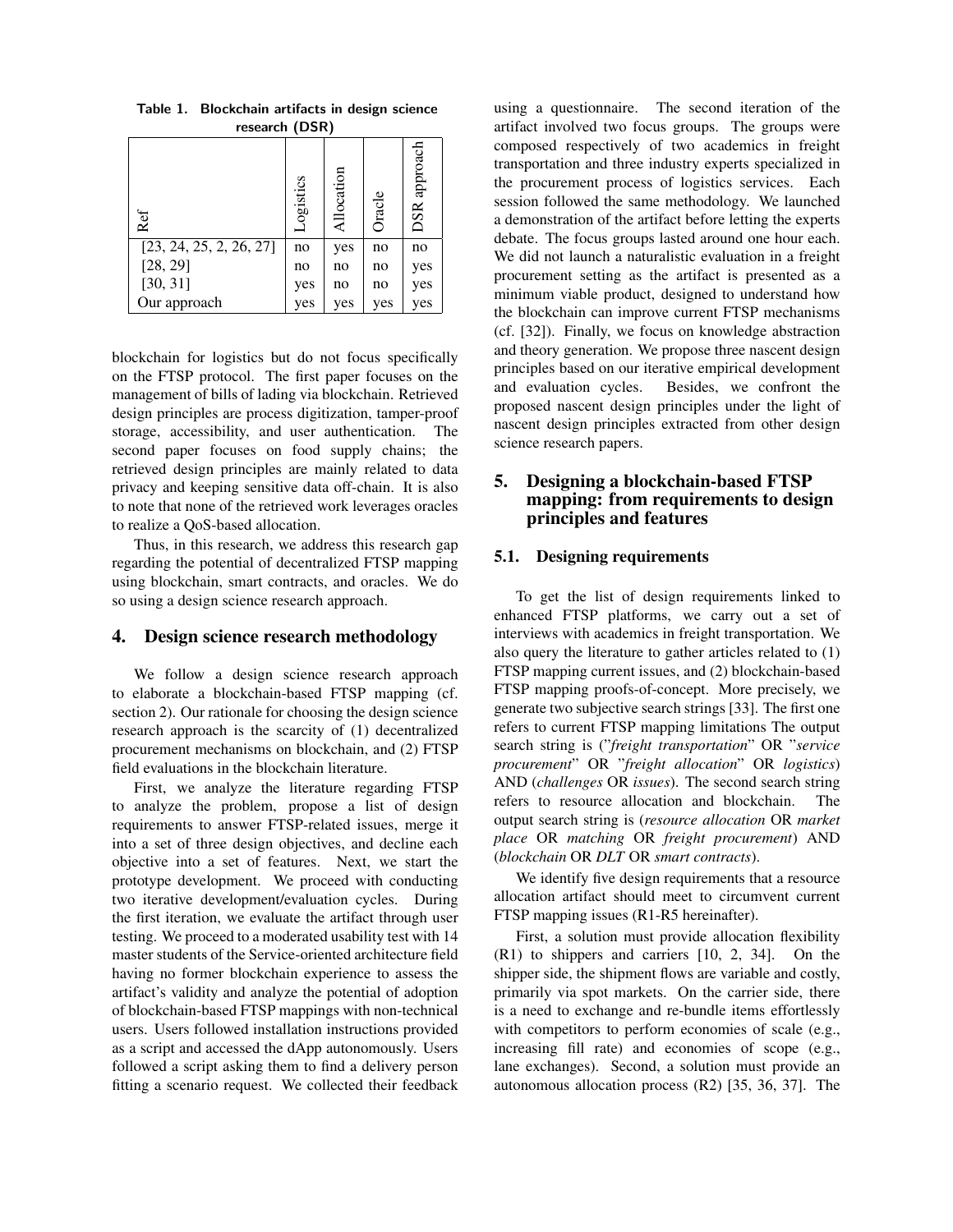| $1000$ $1000$           |           |            |        |              |  |  |  |  |
|-------------------------|-----------|------------|--------|--------------|--|--|--|--|
| Ref                     | Logistics | Allocation | Oracle | DSR approach |  |  |  |  |
| [23, 24, 25, 2, 26, 27] | no        | yes        | no     | no           |  |  |  |  |
| [28, 29]                | no        | no         | no     | yes          |  |  |  |  |
| [30, 31]                | yes       | no         | no     | yes          |  |  |  |  |
| Our approach            | yes       | yes        | yes    | yes          |  |  |  |  |

Table 1. Blockchain artifacts in design science research (DSR)

blockchain for logistics but do not focus specifically on the FTSP protocol. The first paper focuses on the management of bills of lading via blockchain. Retrieved design principles are process digitization, tamper-proof storage, accessibility, and user authentication. The second paper focuses on food supply chains; the retrieved design principles are mainly related to data privacy and keeping sensitive data off-chain. It is also to note that none of the retrieved work leverages oracles to realize a QoS-based allocation.

Thus, in this research, we address this research gap regarding the potential of decentralized FTSP mapping using blockchain, smart contracts, and oracles. We do so using a design science research approach.

## 4. Design science research methodology

We follow a design science research approach to elaborate a blockchain-based FTSP mapping (cf. section 2). Our rationale for choosing the design science research approach is the scarcity of (1) decentralized procurement mechanisms on blockchain, and (2) FTSP field evaluations in the blockchain literature.

First, we analyze the literature regarding FTSP to analyze the problem, propose a list of design requirements to answer FTSP-related issues, merge it into a set of three design objectives, and decline each objective into a set of features. Next, we start the prototype development. We proceed with conducting two iterative development/evaluation cycles. During the first iteration, we evaluate the artifact through user testing. We proceed to a moderated usability test with 14 master students of the Service-oriented architecture field having no former blockchain experience to assess the artifact's validity and analyze the potential of adoption of blockchain-based FTSP mappings with non-technical users. Users followed installation instructions provided as a script and accessed the dApp autonomously. Users followed a script asking them to find a delivery person fitting a scenario request. We collected their feedback

using a questionnaire. The second iteration of the artifact involved two focus groups. The groups were composed respectively of two academics in freight transportation and three industry experts specialized in the procurement process of logistics services. Each session followed the same methodology. We launched a demonstration of the artifact before letting the experts debate. The focus groups lasted around one hour each. We did not launch a naturalistic evaluation in a freight procurement setting as the artifact is presented as a minimum viable product, designed to understand how the blockchain can improve current FTSP mechanisms (cf. [32]). Finally, we focus on knowledge abstraction and theory generation. We propose three nascent design principles based on our iterative empirical development and evaluation cycles. Besides, we confront the proposed nascent design principles under the light of nascent design principles extracted from other design science research papers.

# 5. Designing a blockchain-based FTSP mapping: from requirements to design principles and features

#### 5.1. Designing requirements

To get the list of design requirements linked to enhanced FTSP platforms, we carry out a set of interviews with academics in freight transportation. We also query the literature to gather articles related to (1) FTSP mapping current issues, and (2) blockchain-based FTSP mapping proofs-of-concept. More precisely, we generate two subjective search strings [33]. The first one refers to current FTSP mapping limitations The output search string is ("*freight transportation*" OR "*service procurement*" OR "*freight allocation*" OR *logistics*) AND (*challenges* OR *issues*). The second search string refers to resource allocation and blockchain. The output search string is (*resource allocation* OR *market place* OR *matching* OR *freight procurement*) AND (*blockchain* OR *DLT* OR *smart contracts*).

We identify five design requirements that a resource allocation artifact should meet to circumvent current FTSP mapping issues (R1-R5 hereinafter).

First, a solution must provide allocation flexibility (R1) to shippers and carriers [10, 2, 34]. On the shipper side, the shipment flows are variable and costly, primarily via spot markets. On the carrier side, there is a need to exchange and re-bundle items effortlessly with competitors to perform economies of scale (e.g., increasing fill rate) and economies of scope (e.g., lane exchanges). Second, a solution must provide an autonomous allocation process (R2) [35, 36, 37]. The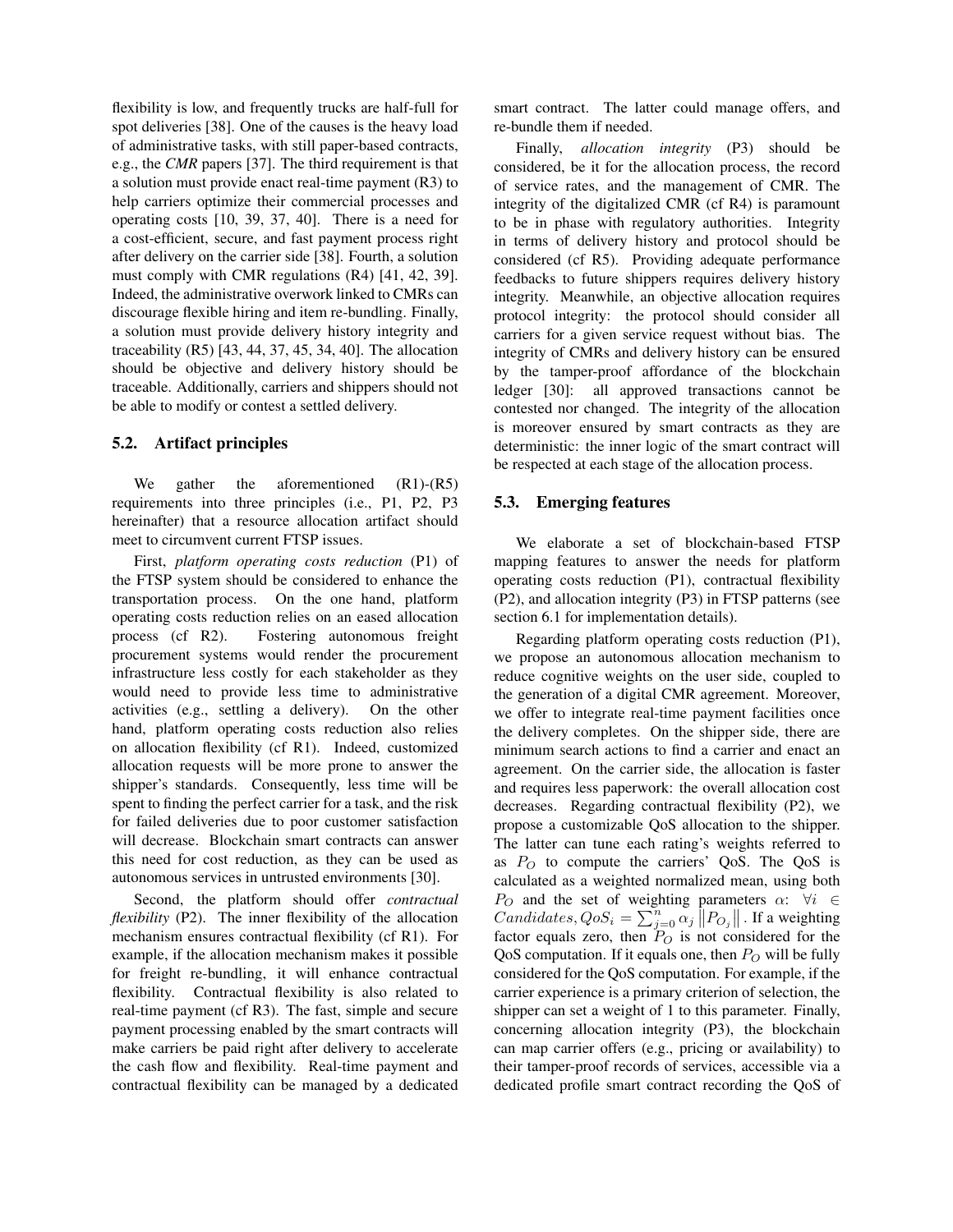flexibility is low, and frequently trucks are half-full for spot deliveries [38]. One of the causes is the heavy load of administrative tasks, with still paper-based contracts, e.g., the *CMR* papers [37]. The third requirement is that a solution must provide enact real-time payment (R3) to help carriers optimize their commercial processes and operating costs [10, 39, 37, 40]. There is a need for a cost-efficient, secure, and fast payment process right after delivery on the carrier side [38]. Fourth, a solution must comply with CMR regulations (R4) [41, 42, 39]. Indeed, the administrative overwork linked to CMRs can discourage flexible hiring and item re-bundling. Finally, a solution must provide delivery history integrity and traceability (R5) [43, 44, 37, 45, 34, 40]. The allocation should be objective and delivery history should be traceable. Additionally, carriers and shippers should not be able to modify or contest a settled delivery.

#### 5.2. Artifact principles

We gather the aforementioned (R1)-(R5) requirements into three principles (i.e., P1, P2, P3 hereinafter) that a resource allocation artifact should meet to circumvent current FTSP issues.

First, *platform operating costs reduction* (P1) of the FTSP system should be considered to enhance the transportation process. On the one hand, platform operating costs reduction relies on an eased allocation process (cf R2). Fostering autonomous freight procurement systems would render the procurement infrastructure less costly for each stakeholder as they would need to provide less time to administrative activities (e.g., settling a delivery). On the other hand, platform operating costs reduction also relies on allocation flexibility (cf R1). Indeed, customized allocation requests will be more prone to answer the shipper's standards. Consequently, less time will be spent to finding the perfect carrier for a task, and the risk for failed deliveries due to poor customer satisfaction will decrease. Blockchain smart contracts can answer this need for cost reduction, as they can be used as autonomous services in untrusted environments [30].

Second, the platform should offer *contractual flexibility* (P2). The inner flexibility of the allocation mechanism ensures contractual flexibility (cf R1). For example, if the allocation mechanism makes it possible for freight re-bundling, it will enhance contractual flexibility. Contractual flexibility is also related to real-time payment (cf R3). The fast, simple and secure payment processing enabled by the smart contracts will make carriers be paid right after delivery to accelerate the cash flow and flexibility. Real-time payment and contractual flexibility can be managed by a dedicated

smart contract. The latter could manage offers, and re-bundle them if needed.

Finally, *allocation integrity* (P3) should be considered, be it for the allocation process, the record of service rates, and the management of CMR. The integrity of the digitalized CMR (cf R4) is paramount to be in phase with regulatory authorities. Integrity in terms of delivery history and protocol should be considered (cf R5). Providing adequate performance feedbacks to future shippers requires delivery history integrity. Meanwhile, an objective allocation requires protocol integrity: the protocol should consider all carriers for a given service request without bias. The integrity of CMRs and delivery history can be ensured by the tamper-proof affordance of the blockchain ledger [30]: all approved transactions cannot be contested nor changed. The integrity of the allocation is moreover ensured by smart contracts as they are deterministic: the inner logic of the smart contract will be respected at each stage of the allocation process.

## 5.3. Emerging features

We elaborate a set of blockchain-based FTSP mapping features to answer the needs for platform operating costs reduction (P1), contractual flexibility (P2), and allocation integrity (P3) in FTSP patterns (see section 6.1 for implementation details).

Regarding platform operating costs reduction (P1), we propose an autonomous allocation mechanism to reduce cognitive weights on the user side, coupled to the generation of a digital CMR agreement. Moreover, we offer to integrate real-time payment facilities once the delivery completes. On the shipper side, there are minimum search actions to find a carrier and enact an agreement. On the carrier side, the allocation is faster and requires less paperwork: the overall allocation cost decreases. Regarding contractual flexibility (P2), we propose a customizable QoS allocation to the shipper. The latter can tune each rating's weights referred to as  $P_O$  to compute the carriers' QoS. The QoS is calculated as a weighted normalized mean, using both P<sub>O</sub> and the set of weighting parameters  $\alpha$ :  $\forall i \in$ *Candidates,*  $Q \circ S_i = \sum_{j=0}^n \alpha_j \left\| P_{O_j} \right\|$ *.* If a weighting factor equals zero, then  $P_O$  is not considered for the QoS computation. If it equals one, then  $P<sub>O</sub>$  will be fully considered for the QoS computation. For example, if the carrier experience is a primary criterion of selection, the shipper can set a weight of 1 to this parameter. Finally, concerning allocation integrity (P3), the blockchain can map carrier offers (e.g., pricing or availability) to their tamper-proof records of services, accessible via a dedicated profile smart contract recording the QoS of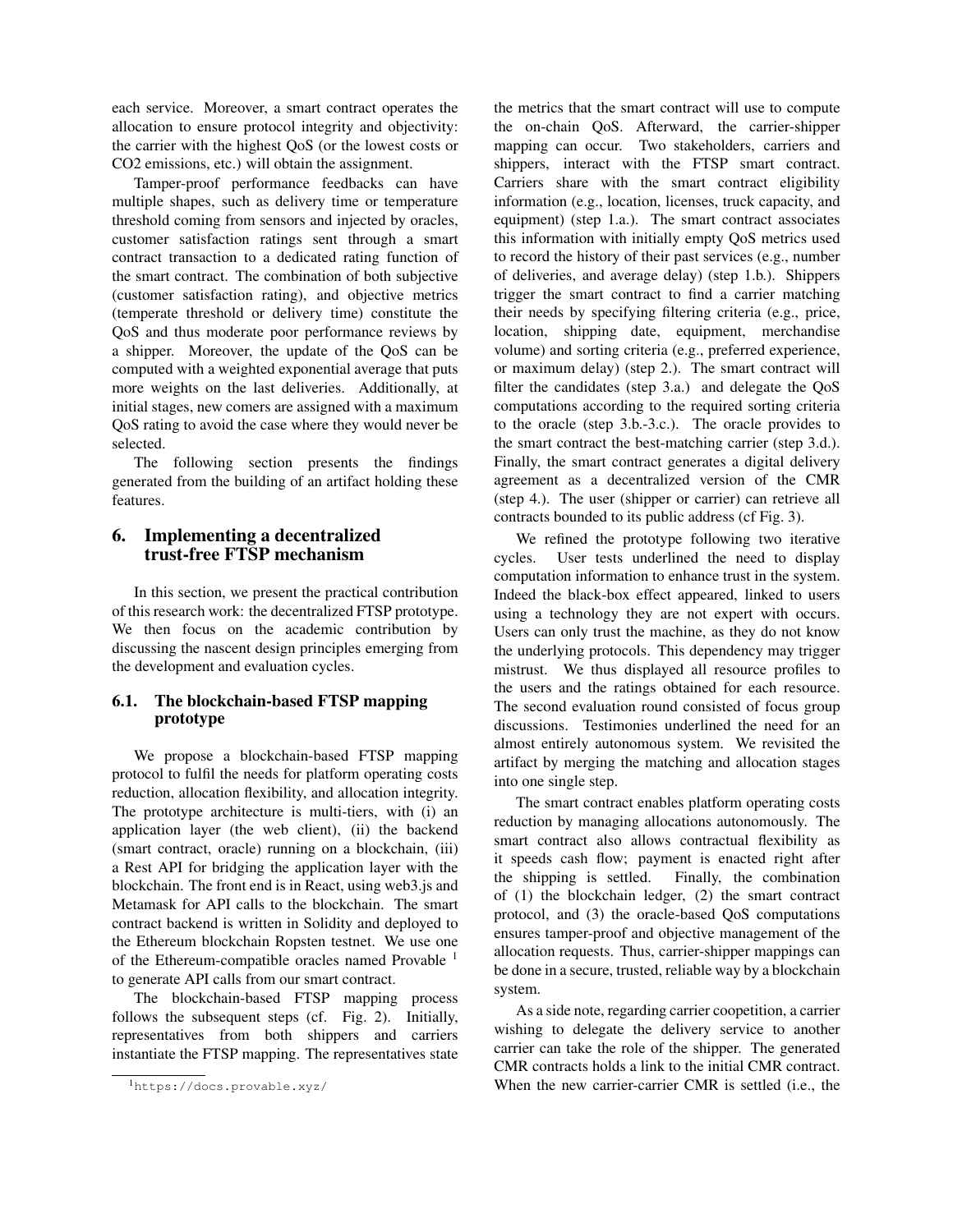each service. Moreover, a smart contract operates the allocation to ensure protocol integrity and objectivity: the carrier with the highest QoS (or the lowest costs or CO2 emissions, etc.) will obtain the assignment.

Tamper-proof performance feedbacks can have multiple shapes, such as delivery time or temperature threshold coming from sensors and injected by oracles, customer satisfaction ratings sent through a smart contract transaction to a dedicated rating function of the smart contract. The combination of both subjective (customer satisfaction rating), and objective metrics (temperate threshold or delivery time) constitute the QoS and thus moderate poor performance reviews by a shipper. Moreover, the update of the QoS can be computed with a weighted exponential average that puts more weights on the last deliveries. Additionally, at initial stages, new comers are assigned with a maximum QoS rating to avoid the case where they would never be selected.

The following section presents the findings generated from the building of an artifact holding these features.

# 6. Implementing a decentralized trust-free FTSP mechanism

In this section, we present the practical contribution of this research work: the decentralized FTSP prototype. We then focus on the academic contribution by discussing the nascent design principles emerging from the development and evaluation cycles.

# 6.1. The blockchain-based FTSP mapping prototype

We propose a blockchain-based FTSP mapping protocol to fulfil the needs for platform operating costs reduction, allocation flexibility, and allocation integrity. The prototype architecture is multi-tiers, with (i) an application layer (the web client), (ii) the backend (smart contract, oracle) running on a blockchain, (iii) a Rest API for bridging the application layer with the blockchain. The front end is in React, using web3.js and Metamask for API calls to the blockchain. The smart contract backend is written in Solidity and deployed to the Ethereum blockchain Ropsten testnet. We use one of the Ethereum-compatible oracles named Provable <sup>1</sup> to generate API calls from our smart contract.

The blockchain-based FTSP mapping process follows the subsequent steps (cf. Fig. 2). Initially, representatives from both shippers and carriers instantiate the FTSP mapping. The representatives state the metrics that the smart contract will use to compute the on-chain QoS. Afterward, the carrier-shipper mapping can occur. Two stakeholders, carriers and shippers, interact with the FTSP smart contract. Carriers share with the smart contract eligibility information (e.g., location, licenses, truck capacity, and equipment) (step 1.a.). The smart contract associates this information with initially empty QoS metrics used to record the history of their past services (e.g., number of deliveries, and average delay) (step 1.b.). Shippers trigger the smart contract to find a carrier matching their needs by specifying filtering criteria (e.g., price, location, shipping date, equipment, merchandise volume) and sorting criteria (e.g., preferred experience, or maximum delay) (step 2.). The smart contract will filter the candidates (step 3.a.) and delegate the QoS computations according to the required sorting criteria to the oracle (step 3.b.-3.c.). The oracle provides to the smart contract the best-matching carrier (step 3.d.). Finally, the smart contract generates a digital delivery agreement as a decentralized version of the CMR (step 4.). The user (shipper or carrier) can retrieve all contracts bounded to its public address (cf Fig. 3).

We refined the prototype following two iterative cycles. User tests underlined the need to display computation information to enhance trust in the system. Indeed the black-box effect appeared, linked to users using a technology they are not expert with occurs. Users can only trust the machine, as they do not know the underlying protocols. This dependency may trigger mistrust. We thus displayed all resource profiles to the users and the ratings obtained for each resource. The second evaluation round consisted of focus group discussions. Testimonies underlined the need for an almost entirely autonomous system. We revisited the artifact by merging the matching and allocation stages into one single step.

The smart contract enables platform operating costs reduction by managing allocations autonomously. The smart contract also allows contractual flexibility as it speeds cash flow; payment is enacted right after the shipping is settled. Finally, the combination of (1) the blockchain ledger, (2) the smart contract protocol, and (3) the oracle-based QoS computations ensures tamper-proof and objective management of the allocation requests. Thus, carrier-shipper mappings can be done in a secure, trusted, reliable way by a blockchain system.

As a side note, regarding carrier coopetition, a carrier wishing to delegate the delivery service to another carrier can take the role of the shipper. The generated CMR contracts holds a link to the initial CMR contract. When the new carrier-carrier CMR is settled (i.e., the

<sup>1</sup>https://docs.provable.xyz/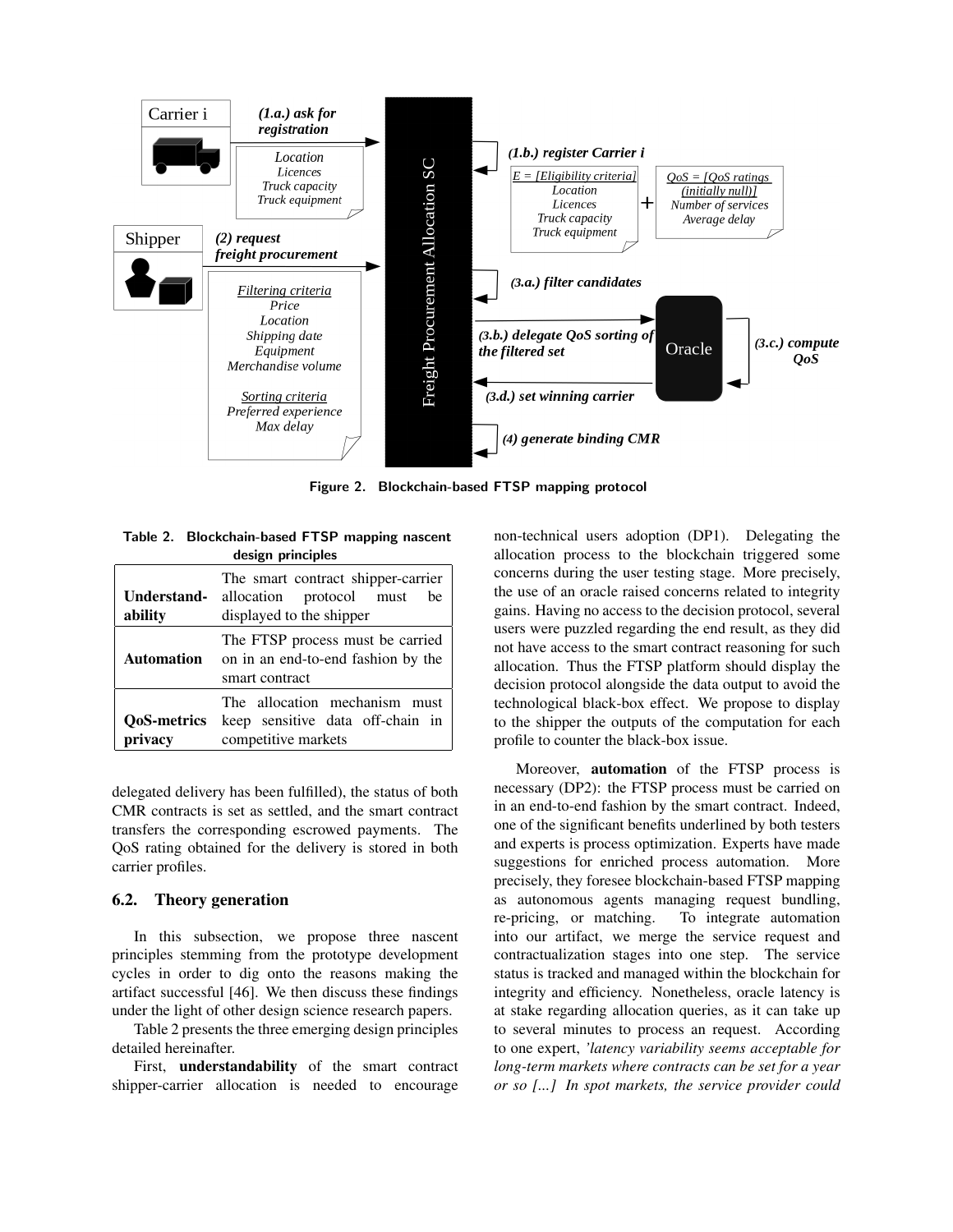

Figure 2. Blockchain-based FTSP mapping protocol

Table 2. Blockchain-based FTSP mapping nascent design principles

| Understand-<br>ability        | The smart contract shipper-carrier<br>allocation protocol must<br>be<br>displayed to the shipper |  |  |
|-------------------------------|--------------------------------------------------------------------------------------------------|--|--|
| Automation                    | The FTSP process must be carried<br>on in an end-to-end fashion by the<br>smart contract         |  |  |
| <b>OoS-metrics</b><br>privacy | The allocation mechanism must<br>keep sensitive data off-chain in<br>competitive markets         |  |  |

delegated delivery has been fulfilled), the status of both CMR contracts is set as settled, and the smart contract transfers the corresponding escrowed payments. The QoS rating obtained for the delivery is stored in both carrier profiles.

## 6.2. Theory generation

In this subsection, we propose three nascent principles stemming from the prototype development cycles in order to dig onto the reasons making the artifact successful [46]. We then discuss these findings under the light of other design science research papers.

Table 2 presents the three emerging design principles detailed hereinafter.

First, understandability of the smart contract shipper-carrier allocation is needed to encourage

non-technical users adoption (DP1). Delegating the allocation process to the blockchain triggered some concerns during the user testing stage. More precisely, the use of an oracle raised concerns related to integrity gains. Having no access to the decision protocol, several users were puzzled regarding the end result, as they did not have access to the smart contract reasoning for such allocation. Thus the FTSP platform should display the decision protocol alongside the data output to avoid the technological black-box effect. We propose to display to the shipper the outputs of the computation for each profile to counter the black-box issue.

Moreover, automation of the FTSP process is necessary (DP2): the FTSP process must be carried on in an end-to-end fashion by the smart contract. Indeed, one of the significant benefits underlined by both testers and experts is process optimization. Experts have made suggestions for enriched process automation. More precisely, they foresee blockchain-based FTSP mapping as autonomous agents managing request bundling, re-pricing, or matching. To integrate automation into our artifact, we merge the service request and contractualization stages into one step. The service status is tracked and managed within the blockchain for integrity and efficiency. Nonetheless, oracle latency is at stake regarding allocation queries, as it can take up to several minutes to process an request. According to one expert, *'latency variability seems acceptable for long-term markets where contracts can be set for a year or so [...] In spot markets, the service provider could*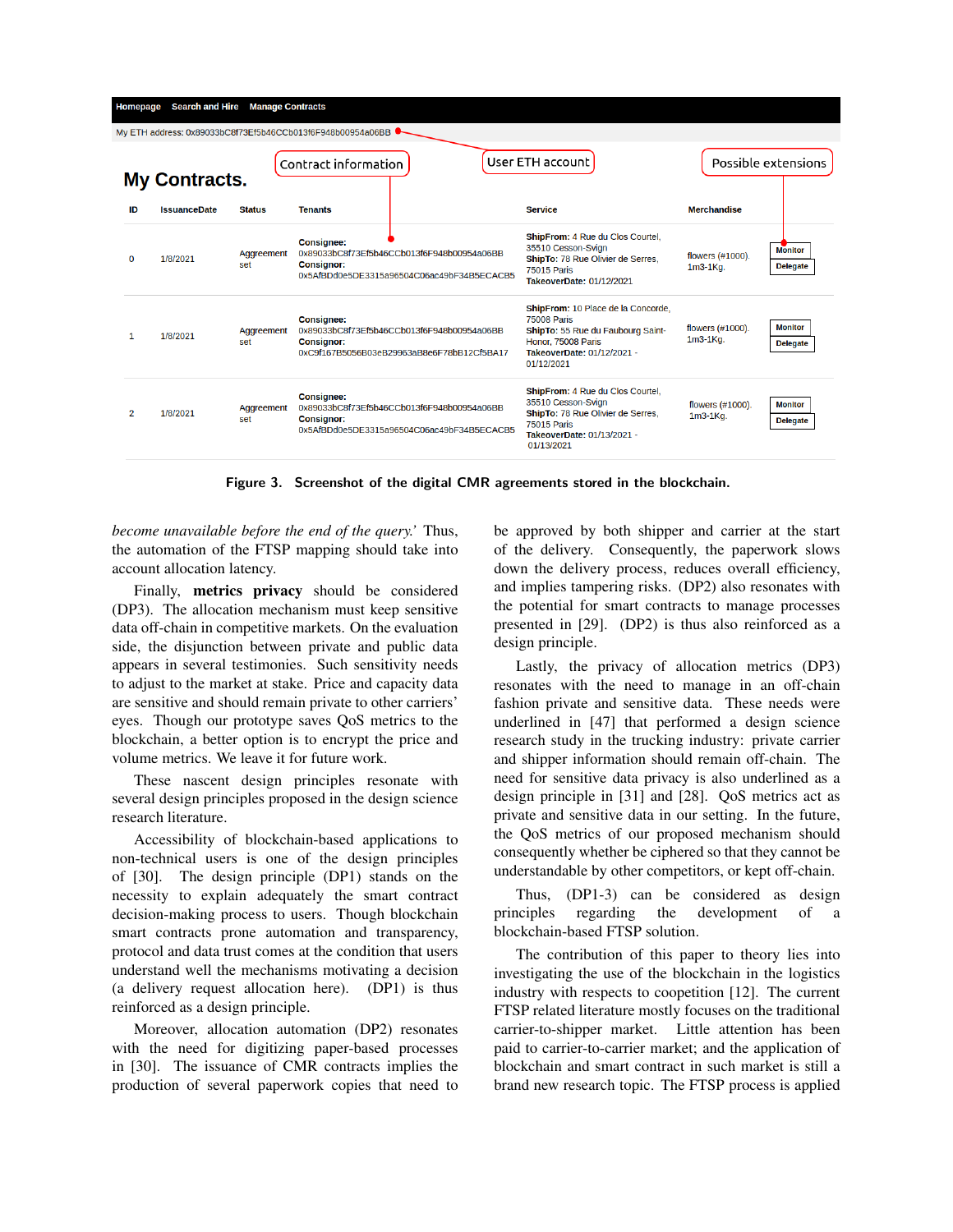| Homepage                                                                                                                       | <b>Search and Hire</b> | <b>Manage Contracts</b> |                                                                                                                                    |                                                                                          |                                                                                                                                                                 |                              |                                   |
|--------------------------------------------------------------------------------------------------------------------------------|------------------------|-------------------------|------------------------------------------------------------------------------------------------------------------------------------|------------------------------------------------------------------------------------------|-----------------------------------------------------------------------------------------------------------------------------------------------------------------|------------------------------|-----------------------------------|
| My ETH address: 0x89033bC8f73Ef5b46CCb013f6F948b00954a06BB<br>User ETH account<br>Contract information<br><b>My Contracts.</b> |                        |                         |                                                                                                                                    |                                                                                          |                                                                                                                                                                 |                              | Possible extensions               |
| ID                                                                                                                             | <b>IssuanceDate</b>    | <b>Status</b>           | <b>Tenants</b>                                                                                                                     |                                                                                          | <b>Service</b>                                                                                                                                                  | <b>Merchandise</b>           |                                   |
| $\Omega$                                                                                                                       | 1/8/2021               | Aggreement<br>set       | <b>Consignee:</b><br><b>Consignor:</b>                                                                                             | 0x89033bC8f73Ef5b46CCb013f6F948b00954a06BB<br>0x5AfBDd0e5DE3315a96504C06ac49bF34B5ECACB5 | ShipFrom: 4 Rue du Clos Courtel,<br>35510 Cesson-Svign<br>ShipTo: 78 Rue Olivier de Serres,<br><b>75015 Paris</b><br>TakeoverDate: 01/12/2021                   | flowers (#1000).<br>1m3-1Kg. | <b>Monitor</b><br><b>Delegate</b> |
| 1                                                                                                                              | 1/8/2021               | Aggreement<br>set       | <b>Consignee:</b><br>0x89033bC8f73Ef5b46CCb013f6F948b00954a06BB<br><b>Consignor:</b><br>0xC9f167B5056B03eB29963aB8e6F78bB12Cf5BA17 |                                                                                          | ShipFrom: 10 Place de la Concorde,<br><b>75008 Paris</b><br>ShipTo: 55 Rue du Faubourg Saint-<br>Honor, 75008 Paris<br>TakeoverDate: 01/12/2021 -<br>01/12/2021 | flowers (#1000).<br>1m3-1Ka. | <b>Monitor</b><br><b>Delegate</b> |
| $\overline{2}$                                                                                                                 | 1/8/2021               | Aggreement<br>set       | <b>Consignee:</b><br><b>Consignor:</b>                                                                                             | 0x89033bC8f73Ef5b46CCb013f6F948b00954a06BB<br>0x5AfBDd0e5DE3315a96504C06ac49bF34B5ECACB5 | ShipFrom: 4 Rue du Clos Courtel.<br>35510 Cesson-Svign<br>ShipTo: 78 Rue Olivier de Serres,<br><b>75015 Paris</b><br>TakeoverDate: 01/13/2021 -<br>01/13/2021   | flowers (#1000).<br>1m3-1Ka. | <b>Monitor</b><br><b>Delegate</b> |
|                                                                                                                                |                        |                         |                                                                                                                                    |                                                                                          |                                                                                                                                                                 |                              |                                   |

Figure 3. Screenshot of the digital CMR agreements stored in the blockchain.

*become unavailable before the end of the query.'* Thus, the automation of the FTSP mapping should take into account allocation latency.

Finally, metrics privacy should be considered (DP3). The allocation mechanism must keep sensitive data off-chain in competitive markets. On the evaluation side, the disjunction between private and public data appears in several testimonies. Such sensitivity needs to adjust to the market at stake. Price and capacity data are sensitive and should remain private to other carriers' eyes. Though our prototype saves QoS metrics to the blockchain, a better option is to encrypt the price and volume metrics. We leave it for future work.

These nascent design principles resonate with several design principles proposed in the design science research literature.

Accessibility of blockchain-based applications to non-technical users is one of the design principles of [30]. The design principle (DP1) stands on the necessity to explain adequately the smart contract decision-making process to users. Though blockchain smart contracts prone automation and transparency, protocol and data trust comes at the condition that users understand well the mechanisms motivating a decision (a delivery request allocation here). (DP1) is thus reinforced as a design principle.

Moreover, allocation automation (DP2) resonates with the need for digitizing paper-based processes in [30]. The issuance of CMR contracts implies the production of several paperwork copies that need to be approved by both shipper and carrier at the start of the delivery. Consequently, the paperwork slows down the delivery process, reduces overall efficiency, and implies tampering risks. (DP2) also resonates with the potential for smart contracts to manage processes presented in [29]. (DP2) is thus also reinforced as a design principle.

Lastly, the privacy of allocation metrics (DP3) resonates with the need to manage in an off-chain fashion private and sensitive data. These needs were underlined in [47] that performed a design science research study in the trucking industry: private carrier and shipper information should remain off-chain. The need for sensitive data privacy is also underlined as a design principle in [31] and [28]. QoS metrics act as private and sensitive data in our setting. In the future, the QoS metrics of our proposed mechanism should consequently whether be ciphered so that they cannot be understandable by other competitors, or kept off-chain.

Thus, (DP1-3) can be considered as design principles regarding the development of a blockchain-based FTSP solution.

The contribution of this paper to theory lies into investigating the use of the blockchain in the logistics industry with respects to coopetition [12]. The current FTSP related literature mostly focuses on the traditional carrier-to-shipper market. Little attention has been paid to carrier-to-carrier market; and the application of blockchain and smart contract in such market is still a brand new research topic. The FTSP process is applied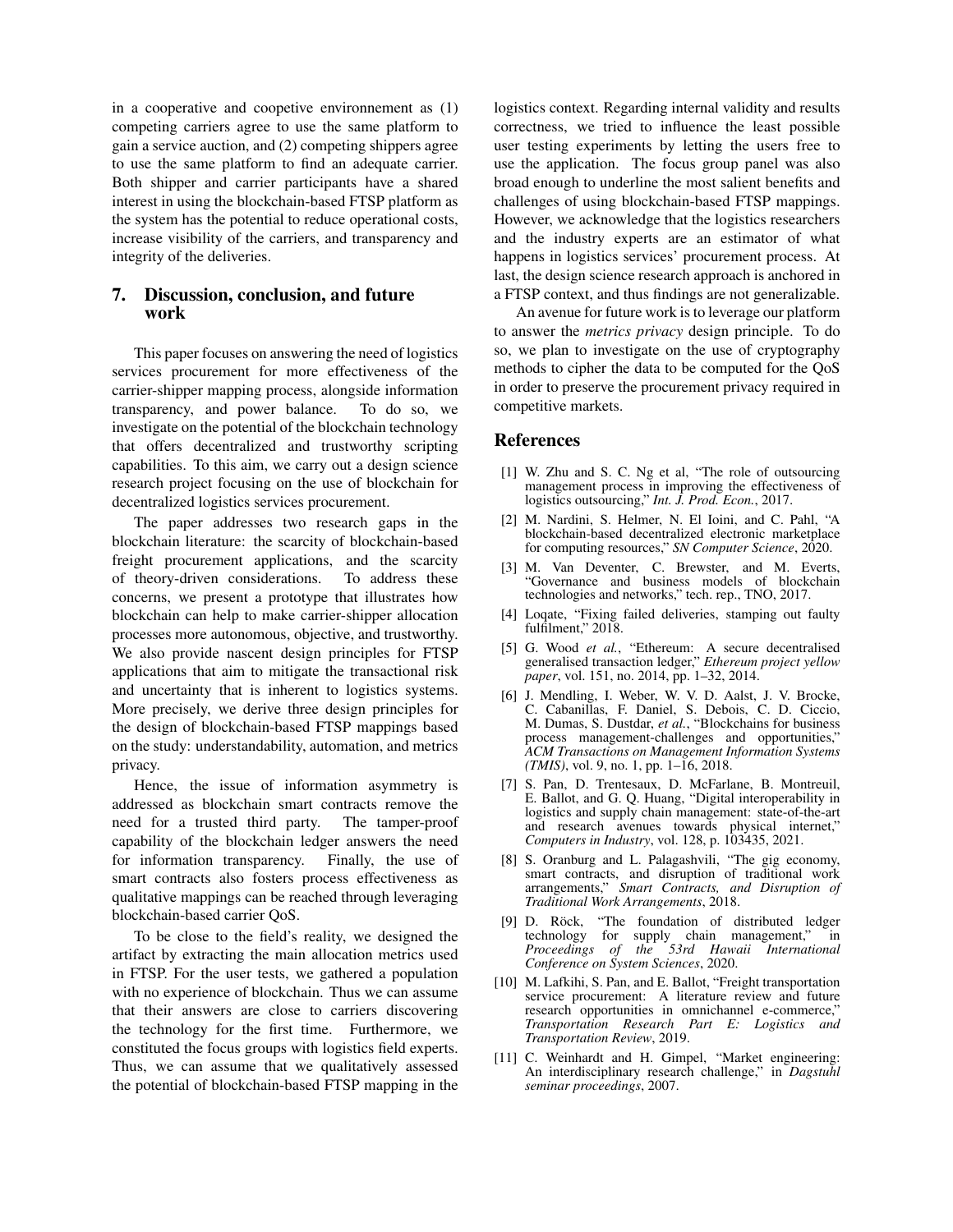in a cooperative and coopetive environnement as (1) competing carriers agree to use the same platform to gain a service auction, and (2) competing shippers agree to use the same platform to find an adequate carrier. Both shipper and carrier participants have a shared interest in using the blockchain-based FTSP platform as the system has the potential to reduce operational costs, increase visibility of the carriers, and transparency and integrity of the deliveries.

## 7. Discussion, conclusion, and future work

This paper focuses on answering the need of logistics services procurement for more effectiveness of the carrier-shipper mapping process, alongside information transparency, and power balance. To do so, we investigate on the potential of the blockchain technology that offers decentralized and trustworthy scripting capabilities. To this aim, we carry out a design science research project focusing on the use of blockchain for decentralized logistics services procurement.

The paper addresses two research gaps in the blockchain literature: the scarcity of blockchain-based freight procurement applications, and the scarcity of theory-driven considerations. To address these concerns, we present a prototype that illustrates how blockchain can help to make carrier-shipper allocation processes more autonomous, objective, and trustworthy. We also provide nascent design principles for FTSP applications that aim to mitigate the transactional risk and uncertainty that is inherent to logistics systems. More precisely, we derive three design principles for the design of blockchain-based FTSP mappings based on the study: understandability, automation, and metrics privacy.

Hence, the issue of information asymmetry is addressed as blockchain smart contracts remove the need for a trusted third party. The tamper-proof capability of the blockchain ledger answers the need for information transparency. Finally, the use of smart contracts also fosters process effectiveness as qualitative mappings can be reached through leveraging blockchain-based carrier QoS.

To be close to the field's reality, we designed the artifact by extracting the main allocation metrics used in FTSP. For the user tests, we gathered a population with no experience of blockchain. Thus we can assume that their answers are close to carriers discovering the technology for the first time. Furthermore, we constituted the focus groups with logistics field experts. Thus, we can assume that we qualitatively assessed the potential of blockchain-based FTSP mapping in the

logistics context. Regarding internal validity and results correctness, we tried to influence the least possible user testing experiments by letting the users free to use the application. The focus group panel was also broad enough to underline the most salient benefits and challenges of using blockchain-based FTSP mappings. However, we acknowledge that the logistics researchers and the industry experts are an estimator of what happens in logistics services' procurement process. At last, the design science research approach is anchored in a FTSP context, and thus findings are not generalizable.

An avenue for future work is to leverage our platform to answer the *metrics privacy* design principle. To do so, we plan to investigate on the use of cryptography methods to cipher the data to be computed for the QoS in order to preserve the procurement privacy required in competitive markets.

#### References

- [1] W. Zhu and S. C. Ng et al, "The role of outsourcing management process in improving the effectiveness of logistics outsourcing," *Int. J. Prod. Econ.*, 2017.
- [2] M. Nardini, S. Helmer, N. El Ioini, and C. Pahl, "A blockchain-based decentralized electronic marketplace for computing resources," *SN Computer Science*, 2020.
- [3] M. Van Deventer, C. Brewster, and M. Everts, "Governance and business models of blockchain technologies and networks," tech. rep., TNO, 2017.
- [4] Loqate, "Fixing failed deliveries, stamping out faulty fulfilment," 2018.
- [5] G. Wood *et al.*, "Ethereum: A secure decentralised generalised transaction ledger," *Ethereum project yellow paper*, vol. 151, no. 2014, pp. 1–32, 2014.
- [6] J. Mendling, I. Weber, W. V. D. Aalst, J. V. Brocke, C. Cabanillas, F. Daniel, S. Debois, C. D. Ciccio, M. Dumas, S. Dustdar, *et al.*, "Blockchains for business process management-challenges and opportunities," *ACM Transactions on Management Information Systems (TMIS)*, vol. 9, no. 1, pp. 1–16, 2018.
- [7] S. Pan, D. Trentesaux, D. McFarlane, B. Montreuil, E. Ballot, and G. Q. Huang, "Digital interoperability in logistics and supply chain management: state-of-the-art and research avenues towards physical internet," *Computers in Industry*, vol. 128, p. 103435, 2021.
- [8] S. Oranburg and L. Palagashvili, "The gig economy, smart contracts, and disruption of traditional work arrangements," *Smart Contracts, and Disruption of Traditional Work Arrangements*, 2018.
- [9] D. Röck, "The foundation of distributed ledger technology for supply chain management," in *Proceedings of the 53rd Hawaii International Conference on System Sciences*, 2020.
- [10] M. Lafkihi, S. Pan, and E. Ballot, "Freight transportation service procurement: A literature review and future research opportunities in omnichannel e-commerce," *Transportation Research Part E: Logistics and Transportation Review*, 2019.
- [11] C. Weinhardt and H. Gimpel, "Market engineering: An interdisciplinary research challenge," in *Dagstuhl seminar proceedings*, 2007.